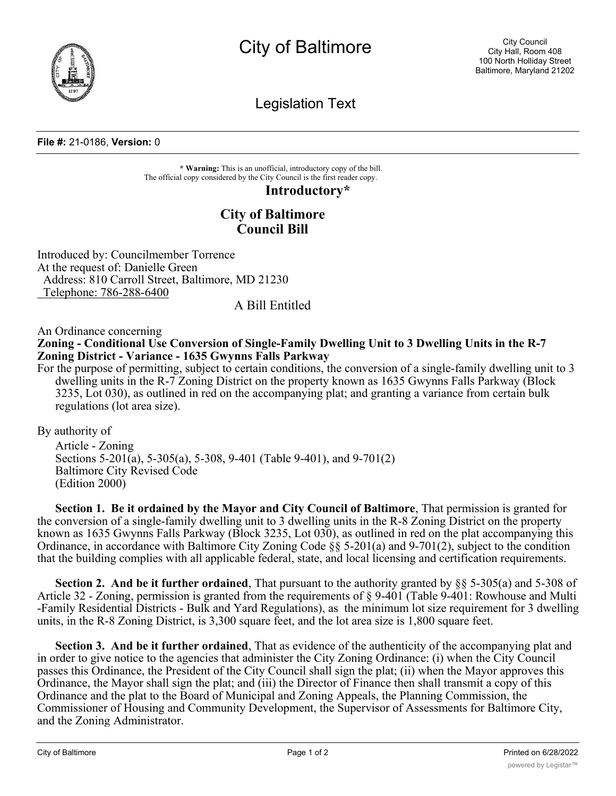

City of Baltimore

Legislation Text

## **File #:** 21-0186, **Version:** 0

**\* Warning:** This is an unofficial, introductory copy of the bill. The official copy considered by the City Council is the first reader copy.

**Introductory\***

## **City of Baltimore Council Bill**

Introduced by: Councilmember Torrence At the request of: Danielle Green Address: 810 Carroll Street, Baltimore, MD 21230 Telephone: 786-288-6400

## A Bill Entitled

## An Ordinance concerning **Zoning - Conditional Use Conversion of Single-Family Dwelling Unit to 3 Dwelling Units in the R-7 Zoning District - Variance - 1635 Gwynns Falls Parkway**

For the purpose of permitting, subject to certain conditions, the conversion of a single-family dwelling unit to 3 dwelling units in the R-7 Zoning District on the property known as 1635 Gwynns Falls Parkway (Block 3235, Lot 030), as outlined in red on the accompanying plat; and granting a variance from certain bulk regulations (lot area size).

By authority of

Article - Zoning Sections 5-201(a), 5-305(a), 5-308, 9-401 (Table 9-401), and 9-701(2) Baltimore City Revised Code (Edition 2000)

**Section 1. Be it ordained by the Mayor and City Council of Baltimore**, That permission is granted for the conversion of a single-family dwelling unit to 3 dwelling units in the R-8 Zoning District on the property known as 1635 Gwynns Falls Parkway (Block 3235, Lot 030), as outlined in red on the plat accompanying this Ordinance, in accordance with Baltimore City Zoning Code §§ 5-201(a) and 9-701(2), subject to the condition that the building complies with all applicable federal, state, and local licensing and certification requirements.

**Section 2. And be it further ordained**, That pursuant to the authority granted by §§ 5-305(a) and 5-308 of Article 32 - Zoning, permission is granted from the requirements of § 9-401 (Table 9-401: Rowhouse and Multi -Family Residential Districts - Bulk and Yard Regulations), as the minimum lot size requirement for 3 dwelling units, in the R-8 Zoning District, is 3,300 square feet, and the lot area size is 1,800 square feet.

**Section 3. And be it further ordained**, That as evidence of the authenticity of the accompanying plat and in order to give notice to the agencies that administer the City Zoning Ordinance: (i) when the City Council passes this Ordinance, the President of the City Council shall sign the plat; (ii) when the Mayor approves this Ordinance, the Mayor shall sign the plat; and (iii) the Director of Finance then shall transmit a copy of this Ordinance and the plat to the Board of Municipal and Zoning Appeals, the Planning Commission, the Commissioner of Housing and Community Development, the Supervisor of Assessments for Baltimore City, and the Zoning Administrator.